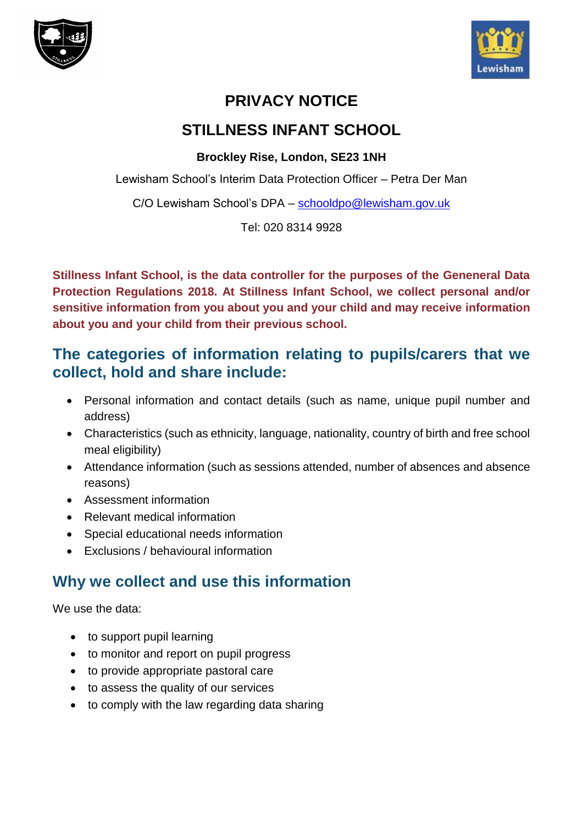



## **PRIVACY NOTICE**

## **STILLNESS INFANT SCHOOL**

#### **Brockley Rise, London, SE23 1NH**

Lewisham School's Interim Data Protection Officer – Petra Der Man

C/O Lewisham School's DPA - [schooldpo@lewisham.gov.uk](mailto:schooldpo@lewisham.gov.uk)

Tel: 020 8314 9928

**Stillness Infant School, is the data controller for the purposes of the Geneneral Data Protection Regulations 2018. At Stillness Infant School, we collect personal and/or sensitive information from you about you and your child and may receive information about you and your child from their previous school.**

## **The categories of information relating to pupils/carers that we collect, hold and share include:**

- Personal information and contact details (such as name, unique pupil number and address)
- Characteristics (such as ethnicity, language, nationality, country of birth and free school meal eligibility)
- Attendance information (such as sessions attended, number of absences and absence reasons)
- Assessment information
- Relevant medical information
- Special educational needs information
- Exclusions / behavioural information

# **Why we collect and use this information**

We use the data:

- to support pupil learning
- to monitor and report on pupil progress
- to provide appropriate pastoral care
- to assess the quality of our services
- to comply with the law regarding data sharing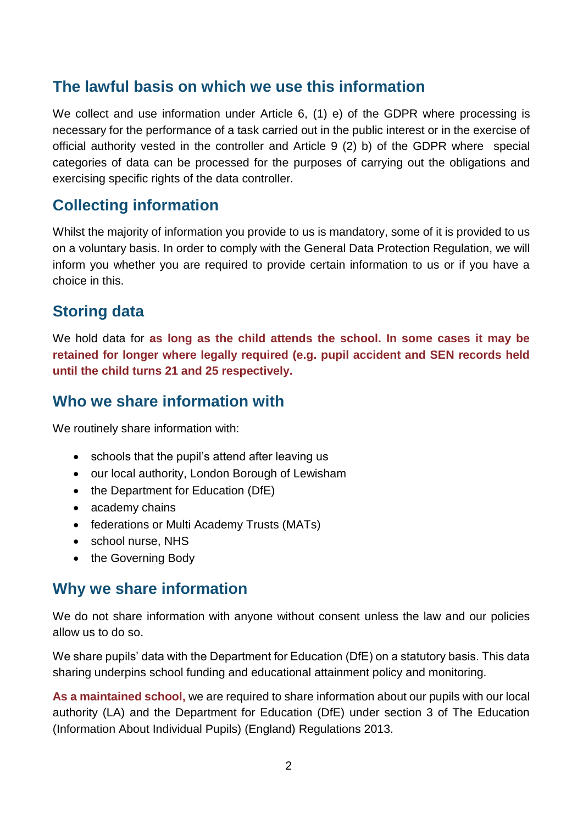### **The lawful basis on which we use this information**

We collect and use information under Article 6, (1) e) of the GDPR where processing is necessary for the performance of a task carried out in the public interest or in the exercise of official authority vested in the controller and Article 9 (2) b) of the GDPR where special categories of data can be processed for the purposes of carrying out the obligations and exercising specific rights of the data controller.

### **Collecting information**

Whilst the majority of information you provide to us is mandatory, some of it is provided to us on a voluntary basis. In order to comply with the General Data Protection Regulation, we will inform you whether you are required to provide certain information to us or if you have a choice in this.

### **Storing data**

We hold data for **as long as the child attends the school. In some cases it may be retained for longer where legally required (e.g. pupil accident and SEN records held until the child turns 21 and 25 respectively.**

### **Who we share information with**

We routinely share information with:

- schools that the pupil's attend after leaving us
- our local authority, London Borough of Lewisham
- the Department for Education (DfE)
- academy chains
- federations or Multi Academy Trusts (MATs)
- school nurse, NHS
- the Governing Body

#### **Why we share information**

We do not share information with anyone without consent unless the law and our policies allow us to do so.

We share pupils' data with the Department for Education (DfE) on a statutory basis. This data sharing underpins school funding and educational attainment policy and monitoring.

**As a maintained school,** we are required to share information about our pupils with our local authority (LA) and the Department for Education (DfE) under section 3 of The Education (Information About Individual Pupils) (England) Regulations 2013.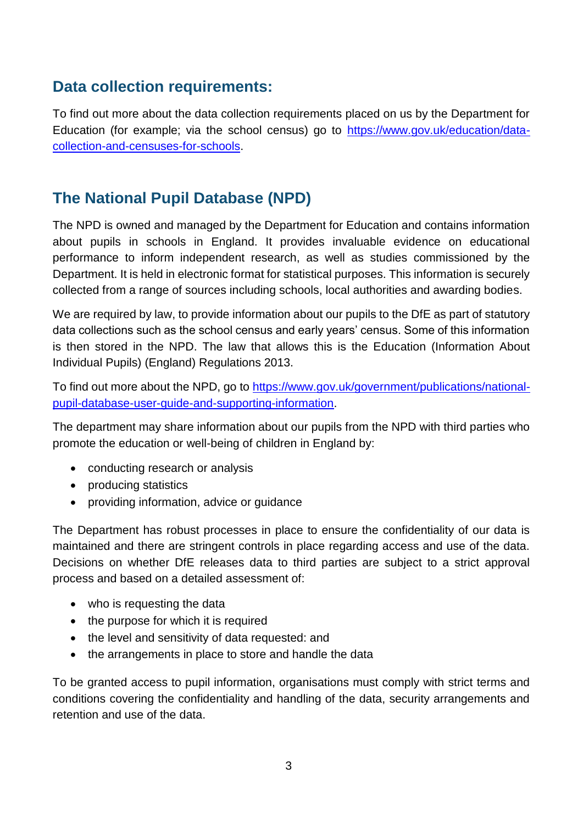## **Data collection requirements:**

To find out more about the data collection requirements placed on us by the Department for Education (for example; via the school census) go to [https://www.gov.uk/education/data](https://www.gov.uk/education/data-collection-and-censuses-for-schools)[collection-and-censuses-for-schools.](https://www.gov.uk/education/data-collection-and-censuses-for-schools)

## **The National Pupil Database (NPD)**

The NPD is owned and managed by the Department for Education and contains information about pupils in schools in England. It provides invaluable evidence on educational performance to inform independent research, as well as studies commissioned by the Department. It is held in electronic format for statistical purposes. This information is securely collected from a range of sources including schools, local authorities and awarding bodies.

We are required by law, to provide information about our pupils to the DfE as part of statutory data collections such as the school census and early years' census. Some of this information is then stored in the NPD. The law that allows this is the Education (Information About Individual Pupils) (England) Regulations 2013.

To find out more about the NPD, go to [https://www.gov.uk/government/publications/national](https://www.gov.uk/government/publications/national-pupil-database-user-guide-and-supporting-information)[pupil-database-user-guide-and-supporting-information.](https://www.gov.uk/government/publications/national-pupil-database-user-guide-and-supporting-information)

The department may share information about our pupils from the NPD with third parties who promote the education or well-being of children in England by:

- conducting research or analysis
- producing statistics
- providing information, advice or guidance

The Department has robust processes in place to ensure the confidentiality of our data is maintained and there are stringent controls in place regarding access and use of the data. Decisions on whether DfE releases data to third parties are subject to a strict approval process and based on a detailed assessment of:

- who is requesting the data
- the purpose for which it is required
- the level and sensitivity of data requested: and
- the arrangements in place to store and handle the data

To be granted access to pupil information, organisations must comply with strict terms and conditions covering the confidentiality and handling of the data, security arrangements and retention and use of the data.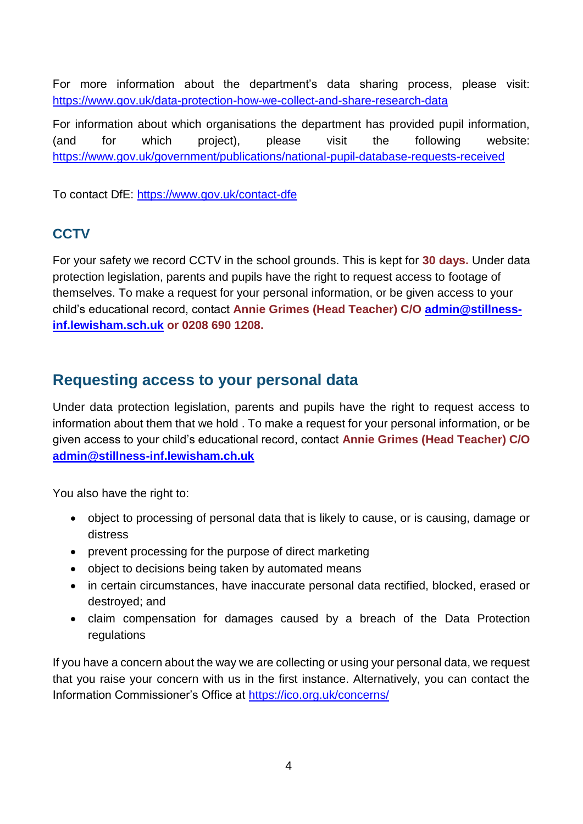For more information about the department's data sharing process, please visit: <https://www.gov.uk/data-protection-how-we-collect-and-share-research-data>

For information about which organisations the department has provided pupil information, (and for which project), please visit the following website: <https://www.gov.uk/government/publications/national-pupil-database-requests-received>

To contact DfE:<https://www.gov.uk/contact-dfe>

#### **CCTV**

For your safety we record CCTV in the school grounds. This is kept for **30 days.** Under data protection legislation, parents and pupils have the right to request access to footage of themselves. To make a request for your personal information, or be given access to your child's educational record, contact **Annie Grimes (Head Teacher) C/O [admin@stillness](mailto:admin@stillness-inf.lewisham.sch.uk)[inf.lewisham.sch.uk](mailto:admin@stillness-inf.lewisham.sch.uk) or 0208 690 1208.**

#### **Requesting access to your personal data**

Under data protection legislation, parents and pupils have the right to request access to information about them that we hold . To make a request for your personal information, or be given access to your child's educational record, contact **Annie Grimes (Head Teacher) C/O [admin@stillness-inf.lewisham.ch.uk](mailto:admin@stillness-inf.lewisham.ch.uk)**

You also have the right to:

- object to processing of personal data that is likely to cause, or is causing, damage or distress
- prevent processing for the purpose of direct marketing
- object to decisions being taken by automated means
- in certain circumstances, have inaccurate personal data rectified, blocked, erased or destroyed; and
- claim compensation for damages caused by a breach of the Data Protection regulations

If you have a concern about the way we are collecting or using your personal data, we request that you raise your concern with us in the first instance. Alternatively, you can contact the Information Commissioner's Office at<https://ico.org.uk/concerns/>